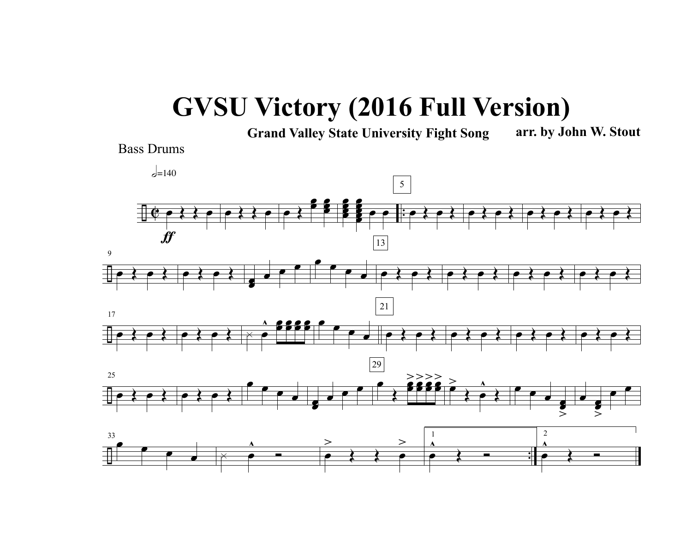## **GVSU Victory (2016 Full Version)**

**Grand Valley State University Fight Song arr. by John W. Stout**

Bass Drums

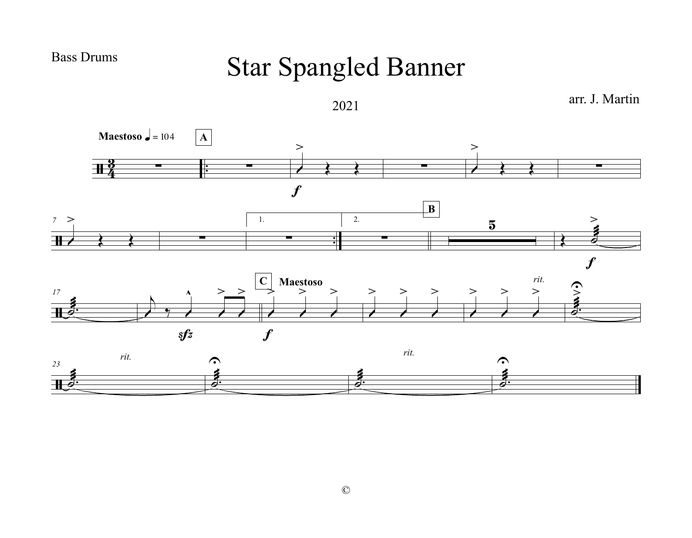**Bass Drums** 

## **Star Spangled Banner**

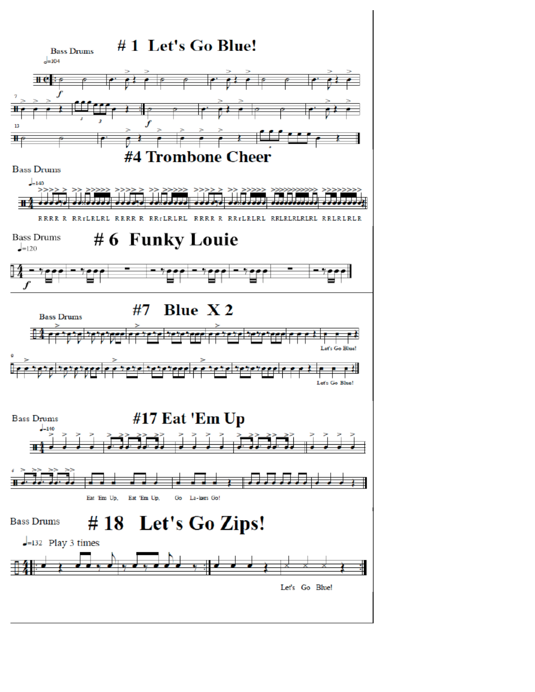